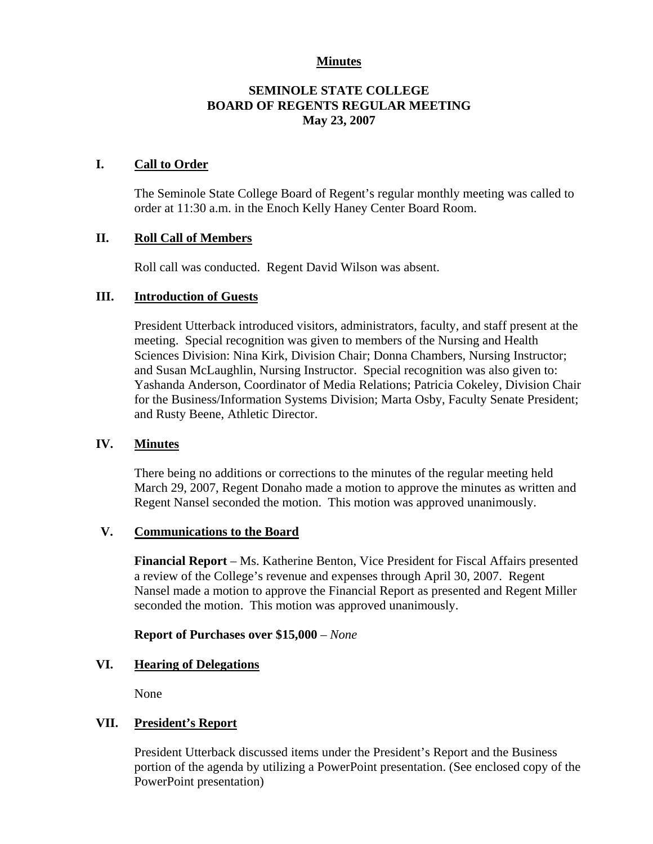# **Minutes**

# **SEMINOLE STATE COLLEGE BOARD OF REGENTS REGULAR MEETING May 23, 2007**

### **I. Call to Order**

The Seminole State College Board of Regent's regular monthly meeting was called to order at 11:30 a.m. in the Enoch Kelly Haney Center Board Room.

### **II. Roll Call of Members**

Roll call was conducted. Regent David Wilson was absent.

## **III. Introduction of Guests**

President Utterback introduced visitors, administrators, faculty, and staff present at the meeting. Special recognition was given to members of the Nursing and Health Sciences Division: Nina Kirk, Division Chair; Donna Chambers, Nursing Instructor; and Susan McLaughlin, Nursing Instructor. Special recognition was also given to: Yashanda Anderson, Coordinator of Media Relations; Patricia Cokeley, Division Chair for the Business/Information Systems Division; Marta Osby, Faculty Senate President; and Rusty Beene, Athletic Director.

#### **IV. Minutes**

There being no additions or corrections to the minutes of the regular meeting held March 29, 2007, Regent Donaho made a motion to approve the minutes as written and Regent Nansel seconded the motion. This motion was approved unanimously.

#### **V. Communications to the Board**

**Financial Report** – Ms. Katherine Benton, Vice President for Fiscal Affairs presented a review of the College's revenue and expenses through April 30, 2007. Regent Nansel made a motion to approve the Financial Report as presented and Regent Miller seconded the motion. This motion was approved unanimously.

#### **Report of Purchases over \$15,000** – *None*

# **VI. Hearing of Delegations**

None

# **VII. President's Report**

President Utterback discussed items under the President's Report and the Business portion of the agenda by utilizing a PowerPoint presentation. (See enclosed copy of the PowerPoint presentation)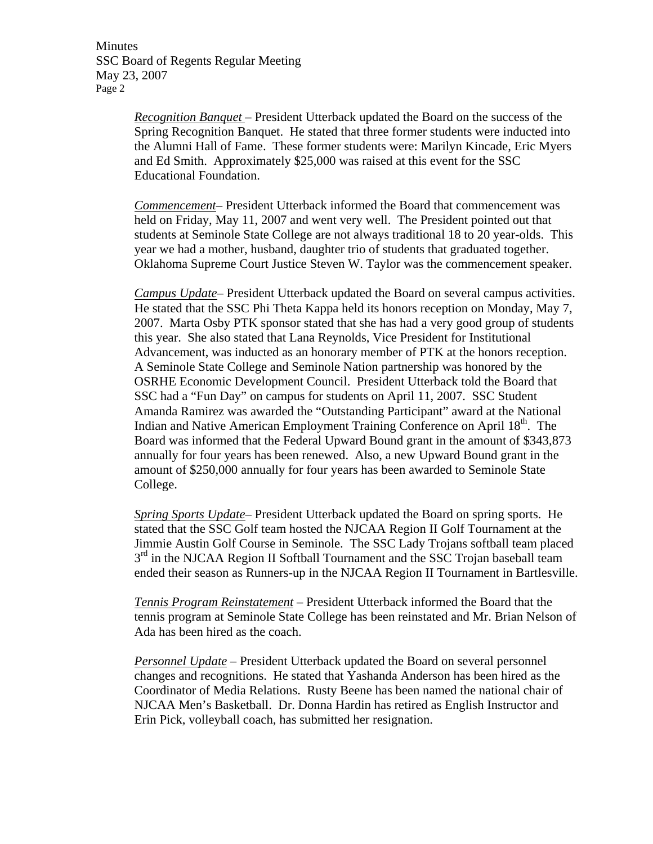Minutes SSC Board of Regents Regular Meeting May 23, 2007 Page 2

> *Recognition Banquet* – President Utterback updated the Board on the success of the Spring Recognition Banquet. He stated that three former students were inducted into the Alumni Hall of Fame. These former students were: Marilyn Kincade, Eric Myers and Ed Smith. Approximately \$25,000 was raised at this event for the SSC Educational Foundation.

> *Commencement*– President Utterback informed the Board that commencement was held on Friday, May 11, 2007 and went very well. The President pointed out that students at Seminole State College are not always traditional 18 to 20 year-olds. This year we had a mother, husband, daughter trio of students that graduated together. Oklahoma Supreme Court Justice Steven W. Taylor was the commencement speaker.

> *Campus Update*– President Utterback updated the Board on several campus activities. He stated that the SSC Phi Theta Kappa held its honors reception on Monday, May 7, 2007. Marta Osby PTK sponsor stated that she has had a very good group of students this year. She also stated that Lana Reynolds, Vice President for Institutional Advancement, was inducted as an honorary member of PTK at the honors reception. A Seminole State College and Seminole Nation partnership was honored by the OSRHE Economic Development Council. President Utterback told the Board that SSC had a "Fun Day" on campus for students on April 11, 2007. SSC Student Amanda Ramirez was awarded the "Outstanding Participant" award at the National Indian and Native American Employment Training Conference on April  $18<sup>th</sup>$ . The Board was informed that the Federal Upward Bound grant in the amount of \$343,873 annually for four years has been renewed. Also, a new Upward Bound grant in the amount of \$250,000 annually for four years has been awarded to Seminole State College.

> *Spring Sports Update*– President Utterback updated the Board on spring sports. He stated that the SSC Golf team hosted the NJCAA Region II Golf Tournament at the Jimmie Austin Golf Course in Seminole. The SSC Lady Trojans softball team placed  $3<sup>rd</sup>$  in the NJCAA Region II Softball Tournament and the SSC Trojan baseball team ended their season as Runners-up in the NJCAA Region II Tournament in Bartlesville.

> *Tennis Program Reinstatement* – President Utterback informed the Board that the tennis program at Seminole State College has been reinstated and Mr. Brian Nelson of Ada has been hired as the coach.

*Personnel Update* – President Utterback updated the Board on several personnel changes and recognitions. He stated that Yashanda Anderson has been hired as the Coordinator of Media Relations. Rusty Beene has been named the national chair of NJCAA Men's Basketball. Dr. Donna Hardin has retired as English Instructor and Erin Pick, volleyball coach, has submitted her resignation.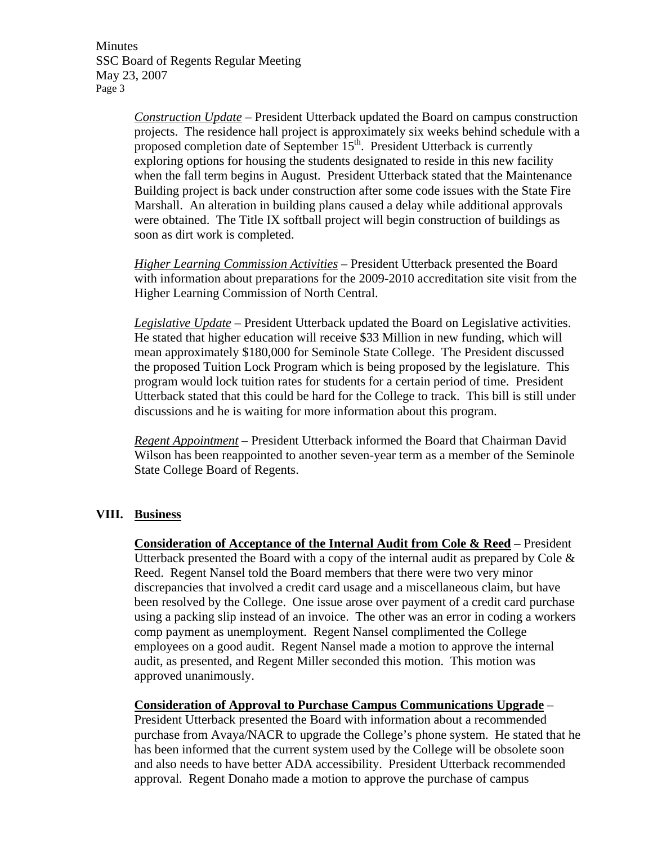Minutes SSC Board of Regents Regular Meeting May 23, 2007 Page 3

> *Construction Update* – President Utterback updated the Board on campus construction projects. The residence hall project is approximately six weeks behind schedule with a proposed completion date of September  $15<sup>th</sup>$ . President Utterback is currently exploring options for housing the students designated to reside in this new facility when the fall term begins in August. President Utterback stated that the Maintenance Building project is back under construction after some code issues with the State Fire Marshall. An alteration in building plans caused a delay while additional approvals were obtained. The Title IX softball project will begin construction of buildings as soon as dirt work is completed.

> *Higher Learning Commission Activities* – President Utterback presented the Board with information about preparations for the 2009-2010 accreditation site visit from the Higher Learning Commission of North Central.

> *Legislative Update* – President Utterback updated the Board on Legislative activities. He stated that higher education will receive \$33 Million in new funding, which will mean approximately \$180,000 for Seminole State College. The President discussed the proposed Tuition Lock Program which is being proposed by the legislature. This program would lock tuition rates for students for a certain period of time. President Utterback stated that this could be hard for the College to track. This bill is still under discussions and he is waiting for more information about this program.

> *Regent Appointment* – President Utterback informed the Board that Chairman David Wilson has been reappointed to another seven-year term as a member of the Seminole State College Board of Regents.

# **VIII. Business**

**Consideration of Acceptance of the Internal Audit from Cole & Reed** – President Utterback presented the Board with a copy of the internal audit as prepared by Cole  $\&$ Reed. Regent Nansel told the Board members that there were two very minor discrepancies that involved a credit card usage and a miscellaneous claim, but have been resolved by the College. One issue arose over payment of a credit card purchase using a packing slip instead of an invoice. The other was an error in coding a workers comp payment as unemployment. Regent Nansel complimented the College employees on a good audit. Regent Nansel made a motion to approve the internal audit, as presented, and Regent Miller seconded this motion. This motion was approved unanimously.

**Consideration of Approval to Purchase Campus Communications Upgrade** – President Utterback presented the Board with information about a recommended purchase from Avaya/NACR to upgrade the College's phone system. He stated that he has been informed that the current system used by the College will be obsolete soon and also needs to have better ADA accessibility. President Utterback recommended approval. Regent Donaho made a motion to approve the purchase of campus